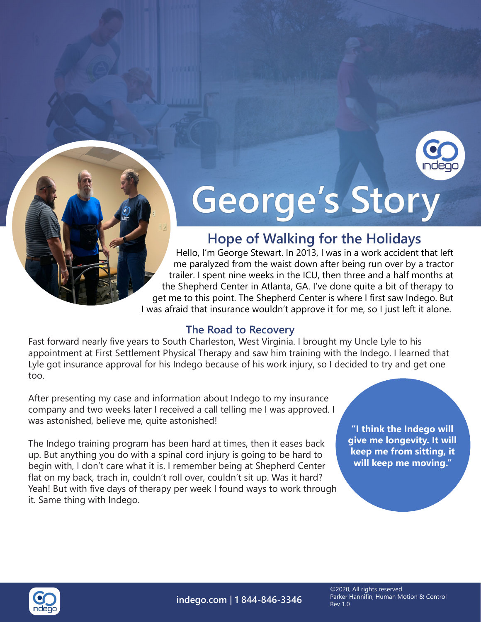

# George's Story

## **Hope of Walking for the Holidays**

Hello, I'm George Stewart. In 2013, I was in a work accident that left me paralyzed from the waist down after being run over by a tractor trailer. I spent nine weeks in the ICU, then three and a half months at the Shepherd Center in Atlanta, GA. I've done quite a bit of therapy to get me to this point. The Shepherd Center is where I first saw Indego. But I was afraid that insurance wouldn't approve it for me, so I just left it alone.

#### **The Road to Recovery**

Fast forward nearly five years to South Charleston, West Virginia. I brought my Uncle Lyle to his appointment at First Settlement Physical Therapy and saw him training with the Indego. I learned that Lyle got insurance approval for his Indego because of his work injury, so I decided to try and get one too.

After presenting my case and information about Indego to my insurance company and two weeks later I received a call telling me I was approved. I was astonished, believe me, quite astonished!

The Indego training program has been hard at times, then it eases back up. But anything you do with a spinal cord injury is going to be hard to begin with, I don't care what it is. I remember being at Shepherd Center flat on my back, trach in, couldn't roll over, couldn't sit up. Was it hard? Yeah! But with five days of therapy per week I found ways to work through it. Same thing with Indego.

**"I think the Indego will give me longevity. It will keep me from sitting, it will keep me moving."**



**indego.com | 1 844-846-3346**

©2020, All rights reserved. Parker Hannifin, Human Motion & Control Rev 1.0